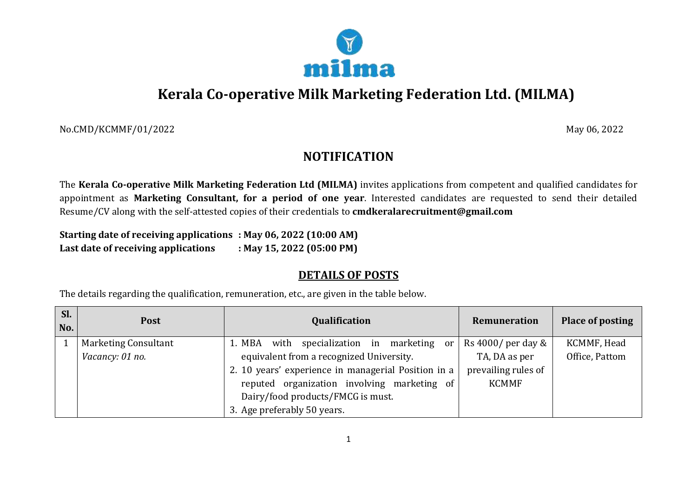

# **Kerala Co-operative Milk Marketing Federation Ltd. (MILMA)**

No.CMD/KCMMF/01/2022 May 06, 2022

## **NOTIFICATION**

The **Kerala Co-operative Milk Marketing Federation Ltd (MILMA)** invites applications from competent and qualified candidates for appointment as **Marketing Consultant, for a period of one year**. Interested candidates are requested to send their detailed Resume/CV along with the self-attested copies of their credentials to **[cmdkeralarecruitment@](about:blank)gmail.com**

**Starting date of receiving applications : May 06, 2022 (10:00 AM) Last date of receiving applications : May 15, 2022 (05:00 PM)**

### **DETAILS OF POSTS**

The details regarding the qualification, remuneration, etc., are given in the table below.

| Sl.<br>No. | <b>Post</b>                 | Qualification                                       | Remuneration             | <b>Place of posting</b> |
|------------|-----------------------------|-----------------------------------------------------|--------------------------|-------------------------|
|            | <b>Marketing Consultant</b> | with specialization in<br>marketing or<br>1. MBA    | Rs $4000$ / per day $\&$ | KCMMF, Head             |
|            | Vacancy: 01 no.             | equivalent from a recognized University.            | TA, DA as per            | Office, Pattom          |
|            |                             | 2. 10 years' experience in managerial Position in a | prevailing rules of      |                         |
|            |                             | reputed organization involving marketing of         | <b>KCMMF</b>             |                         |
|            |                             | Dairy/food products/FMCG is must.                   |                          |                         |
|            |                             | 3. Age preferably 50 years.                         |                          |                         |